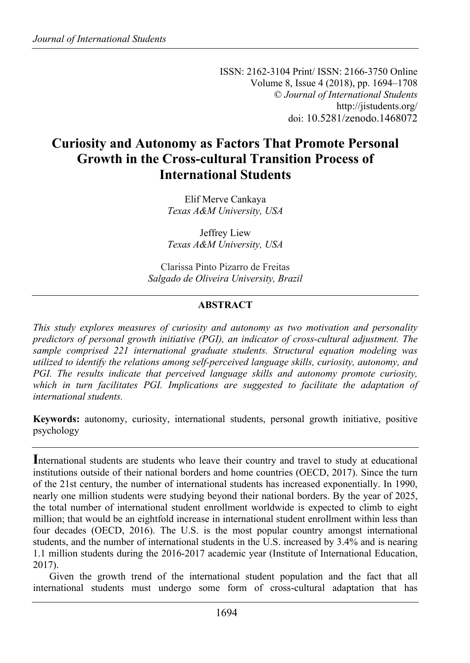ISSN: 2162-3104 Print/ ISSN: 2166-3750 Online Volume 8, Issue 4 (2018), pp. 1694–1708 © *Journal of International Students* http://jistudents.org/ doi: 10.5281/zenodo.1468072

# **Curiosity and Autonomy as Factors That Promote Personal Growth in the Cross-cultural Transition Process of International Students**

Elif Merve Cankaya *Texas A&M University, USA*

Jeffrey Liew *Texas A&M University, USA*

Clarissa Pinto Pizarro de Freitas *Salgado de Oliveira University, Brazil*

### **ABSTRACT**

*This study explores measures of curiosity and autonomy as two motivation and personality predictors of personal growth initiative (PGI), an indicator of cross-cultural adjustment. The sample comprised 221 international graduate students. Structural equation modeling was utilized to identify the relations among self-perceived language skills, curiosity, autonomy, and PGI. The results indicate that perceived language skills and autonomy promote curiosity, which in turn facilitates PGI. Implications are suggested to facilitate the adaptation of international students.*

**Keywords:** autonomy, curiosity, international students, personal growth initiative, positive psychology

**I**nternational students are students who leave their country and travel to study at educational institutions outside of their national borders and home countries (OECD, 2017). Since the turn of the 21st century, the number of international students has increased exponentially. In 1990, nearly one million students were studying beyond their national borders. By the year of 2025, the total number of international student enrollment worldwide is expected to climb to eight million; that would be an eightfold increase in international student enrollment within less than four decades (OECD, 2016). The U.S. is the most popular country amongst international students, and the number of international students in the U.S. increased by 3.4% and is nearing 1.1 million students during the 2016-2017 academic year (Institute of International Education, 2017).

Given the growth trend of the international student population and the fact that all international students must undergo some form of cross-cultural adaptation that has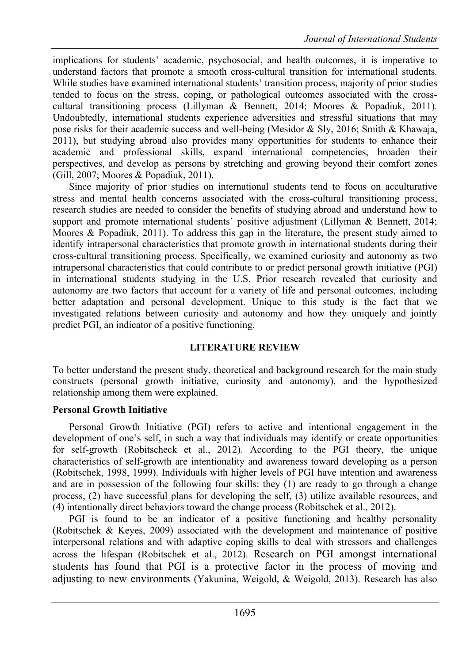implications for students' academic, psychosocial, and health outcomes, it is imperative to understand factors that promote a smooth cross-cultural transition for international students. While studies have examined international students' transition process, majority of prior studies tended to focus on the stress, coping, or pathological outcomes associated with the crosscultural transitioning process (Lillyman & Bennett, 2014; Moores & Popadiuk, 2011). Undoubtedly, international students experience adversities and stressful situations that may pose risks for their academic success and well-being (Mesidor & Sly, 2016; Smith & Khawaja, 2011), but studying abroad also provides many opportunities for students to enhance their academic and professional skills, expand international competencies, broaden their perspectives, and develop as persons by stretching and growing beyond their comfort zones (Gill, 2007; Moores & Popadiuk, 2011).

Since majority of prior studies on international students tend to focus on acculturative stress and mental health concerns associated with the cross-cultural transitioning process, research studies are needed to consider the benefits of studying abroad and understand how to support and promote international students' positive adjustment (Lillyman & Bennett, 2014; Moores & Popadiuk, 2011). To address this gap in the literature, the present study aimed to identify intrapersonal characteristics that promote growth in international students during their cross-cultural transitioning process. Specifically, we examined curiosity and autonomy as two intrapersonal characteristics that could contribute to or predict personal growth initiative (PGI) in international students studying in the U.S. Prior research revealed that curiosity and autonomy are two factors that account for a variety of life and personal outcomes, including better adaptation and personal development. Unique to this study is the fact that we investigated relations between curiosity and autonomy and how they uniquely and jointly predict PGI, an indicator of a positive functioning.

#### **LITERATURE REVIEW**

To better understand the present study, theoretical and background research for the main study constructs (personal growth initiative, curiosity and autonomy), and the hypothesized relationship among them were explained.

### **Personal Growth Initiative**

Personal Growth Initiative (PGI) refers to active and intentional engagement in the development of one's self, in such a way that individuals may identify or create opportunities for self-growth (Robitscheck et al., 2012). According to the PGI theory, the unique characteristics of self-growth are intentionality and awareness toward developing as a person (Robitschek, 1998, 1999). Individuals with higher levels of PGI have intention and awareness and are in possession of the following four skills: they (1) are ready to go through a change process, (2) have successful plans for developing the self, (3) utilize available resources, and (4) intentionally direct behaviors toward the change process (Robitschek et al., 2012).

PGI is found to be an indicator of a positive functioning and healthy personality (Robitschek & Keyes, 2009) associated with the development and maintenance of positive interpersonal relations and with adaptive coping skills to deal with stressors and challenges across the lifespan (Robitschek et al., 2012). Research on PGI amongst international students has found that PGI is a protective factor in the process of moving and adjusting to new environments (Yakunina, Weigold, & Weigold, 2013). Research has also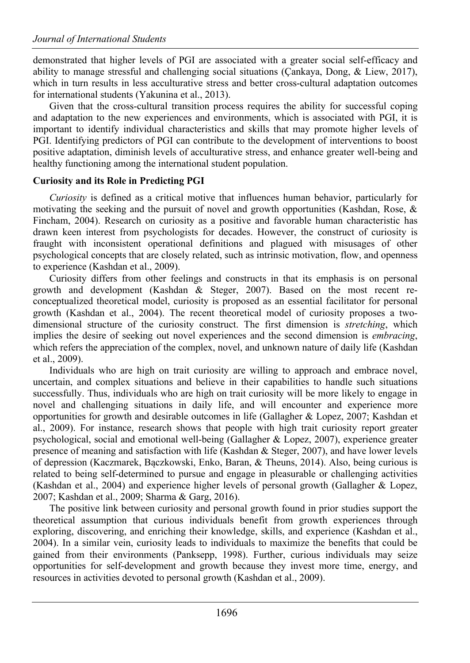demonstrated that higher levels of PGI are associated with a greater social self-efficacy and ability to manage stressful and challenging social situations (Çankaya, Dong, & Liew, 2017), which in turn results in less acculturative stress and better cross-cultural adaptation outcomes for international students (Yakunina et al., 2013).

Given that the cross-cultural transition process requires the ability for successful coping and adaptation to the new experiences and environments, which is associated with PGI, it is important to identify individual characteristics and skills that may promote higher levels of PGI. Identifying predictors of PGI can contribute to the development of interventions to boost positive adaptation, diminish levels of acculturative stress, and enhance greater well-being and healthy functioning among the international student population.

# **Curiosity and its Role in Predicting PGI**

*Curiosity* is defined as a critical motive that influences human behavior, particularly for motivating the seeking and the pursuit of novel and growth opportunities (Kashdan, Rose, & Fincham, 2004). Research on curiosity as a positive and favorable human characteristic has drawn keen interest from psychologists for decades. However, the construct of curiosity is fraught with inconsistent operational definitions and plagued with misusages of other psychological concepts that are closely related, such as intrinsic motivation, flow, and openness to experience (Kashdan et al., 2009).

Curiosity differs from other feelings and constructs in that its emphasis is on personal growth and development (Kashdan & Steger, 2007). Based on the most recent reconceptualized theoretical model, curiosity is proposed as an essential facilitator for personal growth (Kashdan et al., 2004). The recent theoretical model of curiosity proposes a twodimensional structure of the curiosity construct. The first dimension is *stretching*, which implies the desire of seeking out novel experiences and the second dimension is *embracing*, which refers the appreciation of the complex, novel, and unknown nature of daily life (Kashdan et al., 2009).

Individuals who are high on trait curiosity are willing to approach and embrace novel, uncertain, and complex situations and believe in their capabilities to handle such situations successfully. Thus, individuals who are high on trait curiosity will be more likely to engage in novel and challenging situations in daily life, and will encounter and experience more opportunities for growth and desirable outcomes in life (Gallagher & Lopez, 2007; Kashdan et al., 2009). For instance, research shows that people with high trait curiosity report greater psychological, social and emotional well-being (Gallagher & Lopez, 2007), experience greater presence of meaning and satisfaction with life (Kashdan & Steger, 2007), and have lower levels of depression (Kaczmarek, Bączkowski, Enko, Baran, & Theuns, 2014). Also, being curious is related to being self-determined to pursue and engage in pleasurable or challenging activities (Kashdan et al., 2004) and experience higher levels of personal growth (Gallagher & Lopez, 2007; Kashdan et al., 2009; Sharma & Garg, 2016).

The positive link between curiosity and personal growth found in prior studies support the theoretical assumption that curious individuals benefit from growth experiences through exploring, discovering, and enriching their knowledge, skills, and experience (Kashdan et al., 2004). In a similar vein, curiosity leads to individuals to maximize the benefits that could be gained from their environments (Panksepp, 1998). Further, curious individuals may seize opportunities for self-development and growth because they invest more time, energy, and resources in activities devoted to personal growth (Kashdan et al., 2009).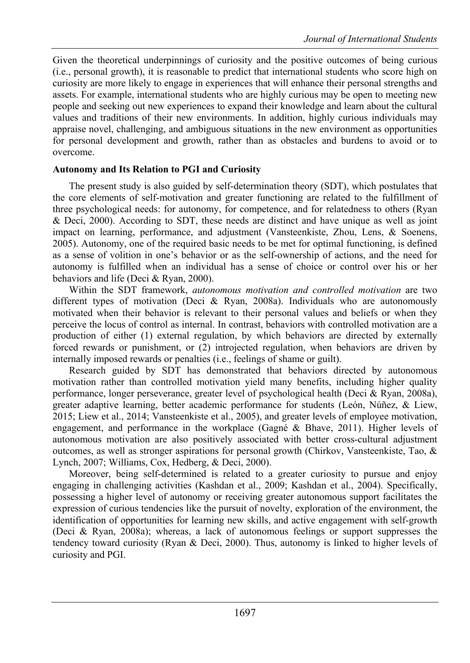Given the theoretical underpinnings of curiosity and the positive outcomes of being curious (i.e., personal growth), it is reasonable to predict that international students who score high on curiosity are more likely to engage in experiences that will enhance their personal strengths and assets. For example, international students who are highly curious may be open to meeting new people and seeking out new experiences to expand their knowledge and learn about the cultural values and traditions of their new environments. In addition, highly curious individuals may appraise novel, challenging, and ambiguous situations in the new environment as opportunities for personal development and growth, rather than as obstacles and burdens to avoid or to overcome.

#### **Autonomy and Its Relation to PGI and Curiosity**

The present study is also guided by self-determination theory (SDT), which postulates that the core elements of self-motivation and greater functioning are related to the fulfillment of three psychological needs: for autonomy, for competence, and for relatedness to others (Ryan & Deci, 2000). According to SDT, these needs are distinct and have unique as well as joint impact on learning, performance, and adjustment (Vansteenkiste, Zhou, Lens, & Soenens, 2005). Autonomy, one of the required basic needs to be met for optimal functioning, is defined as a sense of volition in one's behavior or as the self-ownership of actions, and the need for autonomy is fulfilled when an individual has a sense of choice or control over his or her behaviors and life (Deci & Ryan, 2000).

Within the SDT framework, *autonomous motivation and controlled motivation* are two different types of motivation (Deci & Ryan, 2008a). Individuals who are autonomously motivated when their behavior is relevant to their personal values and beliefs or when they perceive the locus of control as internal. In contrast, behaviors with controlled motivation are a production of either (1) external regulation, by which behaviors are directed by externally forced rewards or punishment, or (2) introjected regulation, when behaviors are driven by internally imposed rewards or penalties (i.e., feelings of shame or guilt).

Research guided by SDT has demonstrated that behaviors directed by autonomous motivation rather than controlled motivation yield many benefits, including higher quality performance, longer perseverance, greater level of psychological health (Deci & Ryan, 2008a), greater adaptive learning, better academic performance for students (León, Núñez, & Liew, 2015; Liew et al., 2014; Vansteenkiste et al., 2005), and greater levels of employee motivation, engagement, and performance in the workplace (Gagné & Bhave, 2011). Higher levels of autonomous motivation are also positively associated with better cross-cultural adjustment outcomes, as well as stronger aspirations for personal growth (Chirkov, Vansteenkiste, Tao, & Lynch, 2007; Williams, Cox, Hedberg, & Deci, 2000).

Moreover, being self-determined is related to a greater curiosity to pursue and enjoy engaging in challenging activities (Kashdan et al., 2009; Kashdan et al., 2004). Specifically, possessing a higher level of autonomy or receiving greater autonomous support facilitates the expression of curious tendencies like the pursuit of novelty, exploration of the environment, the identification of opportunities for learning new skills, and active engagement with self-growth (Deci & Ryan, 2008a); whereas, a lack of autonomous feelings or support suppresses the tendency toward curiosity (Ryan & Deci, 2000). Thus, autonomy is linked to higher levels of curiosity and PGI.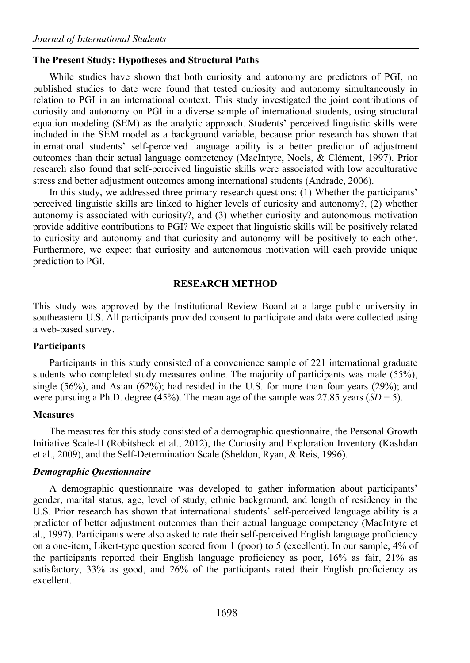### **The Present Study: Hypotheses and Structural Paths**

While studies have shown that both curiosity and autonomy are predictors of PGI, no published studies to date were found that tested curiosity and autonomy simultaneously in relation to PGI in an international context. This study investigated the joint contributions of curiosity and autonomy on PGI in a diverse sample of international students, using structural equation modeling (SEM) as the analytic approach. Students' perceived linguistic skills were included in the SEM model as a background variable, because prior research has shown that international students' self-perceived language ability is a better predictor of adjustment outcomes than their actual language competency (MacIntyre, Noels, & Clément, 1997). Prior research also found that self-perceived linguistic skills were associated with low acculturative stress and better adjustment outcomes among international students (Andrade, 2006).

In this study, we addressed three primary research questions: (1) Whether the participants' perceived linguistic skills are linked to higher levels of curiosity and autonomy?, (2) whether autonomy is associated with curiosity?, and (3) whether curiosity and autonomous motivation provide additive contributions to PGI? We expect that linguistic skills will be positively related to curiosity and autonomy and that curiosity and autonomy will be positively to each other. Furthermore, we expect that curiosity and autonomous motivation will each provide unique prediction to PGI.

### **RESEARCH METHOD**

This study was approved by the Institutional Review Board at a large public university in southeastern U.S. All participants provided consent to participate and data were collected using a web-based survey.

### **Participants**

Participants in this study consisted of a convenience sample of 221 international graduate students who completed study measures online. The majority of participants was male (55%), single (56%), and Asian (62%); had resided in the U.S. for more than four years (29%); and were pursuing a Ph.D. degree (45%). The mean age of the sample was 27.85 years ( $SD = 5$ ).

# **Measures**

The measures for this study consisted of a demographic questionnaire, the Personal Growth Initiative Scale-II (Robitsheck et al., 2012), the Curiosity and Exploration Inventory (Kashdan et al., 2009), and the Self-Determination Scale (Sheldon, Ryan, & Reis, 1996).

# *Demographic Questionnaire*

A demographic questionnaire was developed to gather information about participants' gender, marital status, age, level of study, ethnic background, and length of residency in the U.S. Prior research has shown that international students' self-perceived language ability is a predictor of better adjustment outcomes than their actual language competency (MacIntyre et al., 1997). Participants were also asked to rate their self-perceived English language proficiency on a one-item, Likert-type question scored from 1 (poor) to 5 (excellent). In our sample, 4% of the participants reported their English language proficiency as poor, 16% as fair, 21% as satisfactory, 33% as good, and 26% of the participants rated their English proficiency as excellent.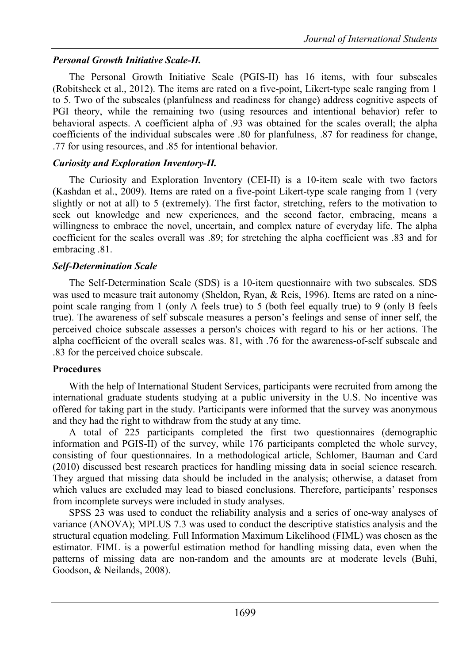# *Personal Growth Initiative Scale-II.*

The Personal Growth Initiative Scale (PGIS-II) has 16 items, with four subscales (Robitsheck et al., 2012). The items are rated on a five-point, Likert-type scale ranging from 1 to 5. Two of the subscales (planfulness and readiness for change) address cognitive aspects of PGI theory, while the remaining two (using resources and intentional behavior) refer to behavioral aspects. A coefficient alpha of .93 was obtained for the scales overall; the alpha coefficients of the individual subscales were .80 for planfulness, .87 for readiness for change, .77 for using resources, and .85 for intentional behavior.

# *Curiosity and Exploration Inventory-II.*

The Curiosity and Exploration Inventory (CEI-II) is a 10-item scale with two factors (Kashdan et al., 2009). Items are rated on a five-point Likert-type scale ranging from 1 (very slightly or not at all) to 5 (extremely). The first factor, stretching, refers to the motivation to seek out knowledge and new experiences, and the second factor, embracing, means a willingness to embrace the novel, uncertain, and complex nature of everyday life. The alpha coefficient for the scales overall was .89; for stretching the alpha coefficient was .83 and for embracing .81.

# *Self-Determination Scale*

The Self-Determination Scale (SDS) is a 10-item questionnaire with two subscales. SDS was used to measure trait autonomy (Sheldon, Ryan, & Reis, 1996). Items are rated on a ninepoint scale ranging from 1 (only A feels true) to 5 (both feel equally true) to 9 (only B feels true). The awareness of self subscale measures a person's feelings and sense of inner self, the perceived choice subscale assesses a person's choices with regard to his or her actions. The alpha coefficient of the overall scales was. 81, with .76 for the awareness-of-self subscale and .83 for the perceived choice subscale.

# **Procedures**

With the help of International Student Services, participants were recruited from among the international graduate students studying at a public university in the U.S. No incentive was offered for taking part in the study. Participants were informed that the survey was anonymous and they had the right to withdraw from the study at any time.

A total of 225 participants completed the first two questionnaires (demographic information and PGIS-II) of the survey, while 176 participants completed the whole survey, consisting of four questionnaires. In a methodological article, Schlomer, Bauman and Card (2010) discussed best research practices for handling missing data in social science research. They argued that missing data should be included in the analysis; otherwise, a dataset from which values are excluded may lead to biased conclusions. Therefore, participants' responses from incomplete surveys were included in study analyses.

SPSS 23 was used to conduct the reliability analysis and a series of one-way analyses of variance (ANOVA); MPLUS 7.3 was used to conduct the descriptive statistics analysis and the structural equation modeling. Full Information Maximum Likelihood (FIML) was chosen as the estimator. FIML is a powerful estimation method for handling missing data, even when the patterns of missing data are non-random and the amounts are at moderate levels (Buhi, Goodson, & Neilands, 2008).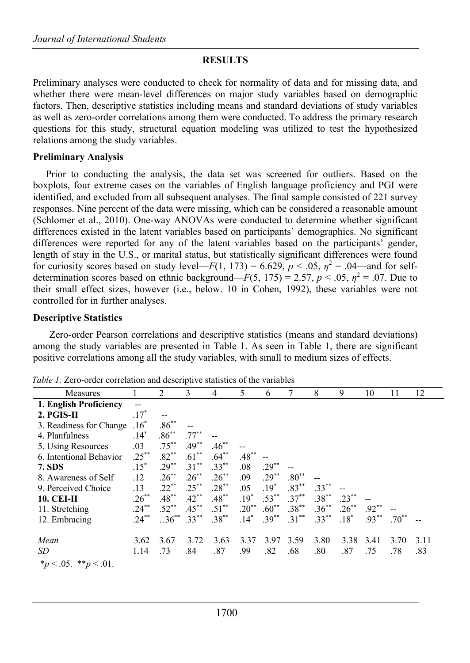### **RESULTS**

Preliminary analyses were conducted to check for normality of data and for missing data, and whether there were mean-level differences on major study variables based on demographic factors. Then, descriptive statistics including means and standard deviations of study variables as well as zero-order correlations among them were conducted. To address the primary research questions for this study, structural equation modeling was utilized to test the hypothesized relations among the study variables.

#### **Preliminary Analysis**

Prior to conducting the analysis, the data set was screened for outliers. Based on the boxplots, four extreme cases on the variables of English language proficiency and PGI were identified, and excluded from all subsequent analyses. The final sample consisted of 221 survey responses. Nine percent of the data were missing, which can be considered a reasonable amount (Schlomer et al., 2010). One-way ANOVAs were conducted to determine whether significant differences existed in the latent variables based on participants' demographics. No significant differences were reported for any of the latent variables based on the participants' gender, length of stay in the U.S., or marital status, but statistically significant differences were found for curiosity scores based on study level—*F*(1, 173) = 6.629,  $p < .05$ ,  $p^2 = .04$ —and for selfdetermination scores based on ethnic background—*F*(5, 175) = 2.57,  $p < .05$ ,  $\eta^2 = .07$ . Due to their small effect sizes, however (i.e., below. 10 in Cohen, 1992), these variables were not controlled for in further analyses.

#### **Descriptive Statistics**

Zero-order Pearson correlations and descriptive statistics (means and standard deviations) among the study variables are presented in Table 1. As seen in Table 1, there are significant positive correlations among all the study variables, with small to medium sizes of effects.

| Measures                |          | $\mathfrak{D}$  | 3        | 4        | 5        | 6        |          | 8        | 9        | 10       | 11      | 12   |
|-------------------------|----------|-----------------|----------|----------|----------|----------|----------|----------|----------|----------|---------|------|
| 1. English Proficiency  | $-$      |                 |          |          |          |          |          |          |          |          |         |      |
| 2. PGIS-II              | $.17*$   |                 |          |          |          |          |          |          |          |          |         |      |
| 3. Readiness for Change | $.16*$   | $.86***$        |          |          |          |          |          |          |          |          |         |      |
| 4. Planfulness          | $.14*$   | $.86***$        | $.77***$ |          |          |          |          |          |          |          |         |      |
| 5. Using Resources      | .03      | $.75***$        | $.49**$  | $.46***$ |          |          |          |          |          |          |         |      |
| 6. Intentional Behavior | $.25***$ | $.82**$         | $.61***$ | $.64***$ | $.48***$ |          |          |          |          |          |         |      |
| <b>7. SDS</b>           | $.15*$   | $.29***$        | $.31***$ | $.33***$ | .08      | $.29**$  |          |          |          |          |         |      |
| 8. Awareness of Self    | .12      | $.26^{**}$      | $.26***$ | $.26***$ | .09      | $.29***$ | $.80**$  |          |          |          |         |      |
| 9. Perceived Choice     | .13      | $.22***$        | $.25***$ | $.28***$ | .05      | $.19*$   | $.83***$ | $.33***$ |          |          |         |      |
| <b>10. CEI-II</b>       | $.26***$ | $.48***$        | $.42***$ | $.48***$ | $.19*$   | $.53***$ | $.37***$ | $.38***$ | $.23***$ |          |         |      |
| 11. Stretching          | $.24***$ | $.52***$        | $.45***$ | $.51***$ | $.20**$  | $.60**$  | $.38***$ | $.36***$ | $.26***$ | $.92***$ |         |      |
| 12. Embracing           | $.24***$ | $36^{**}$ .33** |          | $.38***$ | $.14*$   | $.39***$ | $.31***$ | $.33***$ | $.18*$   | $.93***$ | $.70**$ |      |
|                         |          |                 |          |          |          |          |          |          |          |          |         |      |
| Mean                    | 3.62     | 3.67            | 3.72     | 3.63     | 3.37     | 3.97     | 3.59     | 3.80     | 3.38     | 3.41     | 3.70    | 3.11 |
| SD                      | 1.14     | .73             | .84      | .87      | .99      | .82      | .68      | .80      | .87      | .75      | .78     | .83  |

*Table 1.* Zero-order correlation and descriptive statistics of the variables

 $*_p$  < .05.  $*_p$  < .01.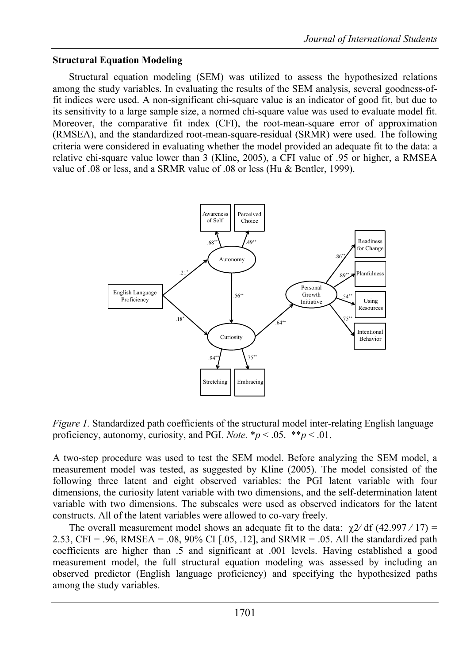### **Structural Equation Modeling**

Structural equation modeling (SEM) was utilized to assess the hypothesized relations among the study variables. In evaluating the results of the SEM analysis, several goodness-offit indices were used. A non-significant chi-square value is an indicator of good fit, but due to its sensitivity to a large sample size, a normed chi-square value was used to evaluate model fit. Moreover, the comparative fit index (CFI), the root-mean-square error of approximation (RMSEA), and the standardized root-mean-square-residual (SRMR) were used. The following criteria were considered in evaluating whether the model provided an adequate fit to the data: a relative chi-square value lower than 3 (Kline, 2005), a CFI value of .95 or higher, a RMSEA value of .08 or less, and a SRMR value of .08 or less (Hu & Bentler, 1999).



*Figure 1.* Standardized path coefficients of the structural model inter-relating English language proficiency, autonomy, curiosity, and PGI. *Note.*  $* p < .05.$   $* p < .01.$ 

A two-step procedure was used to test the SEM model. Before analyzing the SEM model, a measurement model was tested, as suggested by Kline (2005). The model consisted of the following three latent and eight observed variables: the PGI latent variable with four dimensions, the curiosity latent variable with two dimensions, and the self-determination latent variable with two dimensions. The subscales were used as observed indicators for the latent constructs. All of the latent variables were allowed to co-vary freely.

The overall measurement model shows an adequate fit to the data:  $\chi$ 2/ df (42.997 / 17) = 2.53, CFI = .96, RMSEA = .08, 90% CI [.05, .12], and SRMR = .05. All the standardized path coefficients are higher than .5 and significant at .001 levels. Having established a good measurement model, the full structural equation modeling was assessed by including an observed predictor (English language proficiency) and specifying the hypothesized paths among the study variables.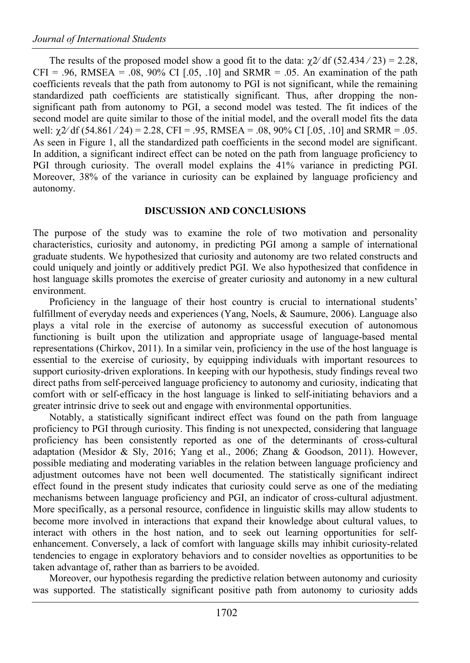The results of the proposed model show a good fit to the data:  $\gamma$ 2/ df (52.434/23) = 2.28,  $CFI = .96$ , RMSEA = .08, 90% CI [.05, .10] and SRMR = .05. An examination of the path coefficients reveals that the path from autonomy to PGI is not significant, while the remaining standardized path coefficients are statistically significant. Thus, after dropping the nonsignificant path from autonomy to PGI, a second model was tested. The fit indices of the second model are quite similar to those of the initial model, and the overall model fits the data well:  $\gamma$ 2/ df (54.861 / 24) = 2.28, CFI = .95, RMSEA = .08, 90% CI [.05, .10] and SRMR = .05. As seen in Figure 1, all the standardized path coefficients in the second model are significant. In addition, a significant indirect effect can be noted on the path from language proficiency to PGI through curiosity. The overall model explains the 41% variance in predicting PGI. Moreover, 38% of the variance in curiosity can be explained by language proficiency and autonomy.

#### **DISCUSSION AND CONCLUSIONS**

The purpose of the study was to examine the role of two motivation and personality characteristics, curiosity and autonomy, in predicting PGI among a sample of international graduate students. We hypothesized that curiosity and autonomy are two related constructs and could uniquely and jointly or additively predict PGI. We also hypothesized that confidence in host language skills promotes the exercise of greater curiosity and autonomy in a new cultural environment.

Proficiency in the language of their host country is crucial to international students' fulfillment of everyday needs and experiences (Yang, Noels, & Saumure, 2006). Language also plays a vital role in the exercise of autonomy as successful execution of autonomous functioning is built upon the utilization and appropriate usage of language-based mental representations (Chirkov, 2011). In a similar vein, proficiency in the use of the host language is essential to the exercise of curiosity, by equipping individuals with important resources to support curiosity-driven explorations. In keeping with our hypothesis, study findings reveal two direct paths from self-perceived language proficiency to autonomy and curiosity, indicating that comfort with or self-efficacy in the host language is linked to self-initiating behaviors and a greater intrinsic drive to seek out and engage with environmental opportunities.

Notably, a statistically significant indirect effect was found on the path from language proficiency to PGI through curiosity. This finding is not unexpected, considering that language proficiency has been consistently reported as one of the determinants of cross-cultural adaptation (Mesidor & Sly, 2016; Yang et al., 2006; Zhang & Goodson, 2011). However, possible mediating and moderating variables in the relation between language proficiency and adjustment outcomes have not been well documented. The statistically significant indirect effect found in the present study indicates that curiosity could serve as one of the mediating mechanisms between language proficiency and PGI, an indicator of cross-cultural adjustment. More specifically, as a personal resource, confidence in linguistic skills may allow students to become more involved in interactions that expand their knowledge about cultural values, to interact with others in the host nation, and to seek out learning opportunities for selfenhancement. Conversely, a lack of comfort with language skills may inhibit curiosity-related tendencies to engage in exploratory behaviors and to consider novelties as opportunities to be taken advantage of, rather than as barriers to be avoided.

Moreover, our hypothesis regarding the predictive relation between autonomy and curiosity was supported. The statistically significant positive path from autonomy to curiosity adds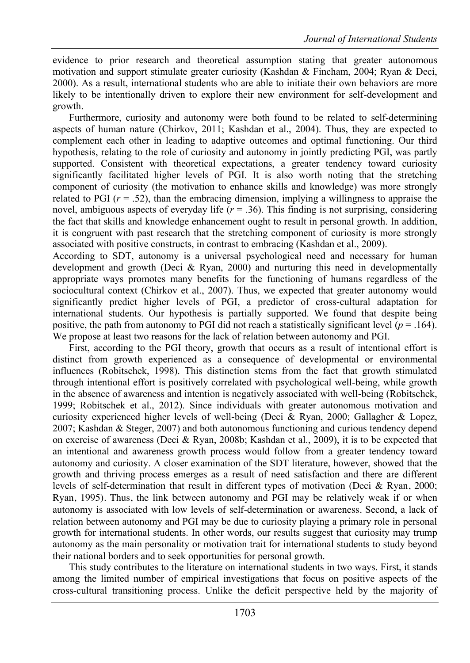evidence to prior research and theoretical assumption stating that greater autonomous motivation and support stimulate greater curiosity (Kashdan & Fincham, 2004; Ryan & Deci, 2000). As a result, international students who are able to initiate their own behaviors are more likely to be intentionally driven to explore their new environment for self-development and growth.

Furthermore, curiosity and autonomy were both found to be related to self-determining aspects of human nature (Chirkov, 2011; Kashdan et al., 2004). Thus, they are expected to complement each other in leading to adaptive outcomes and optimal functioning. Our third hypothesis, relating to the role of curiosity and autonomy in jointly predicting PGI, was partly supported. Consistent with theoretical expectations, a greater tendency toward curiosity significantly facilitated higher levels of PGI. It is also worth noting that the stretching component of curiosity (the motivation to enhance skills and knowledge) was more strongly related to PGI  $(r = .52)$ , than the embracing dimension, implying a willingness to appraise the novel, ambiguous aspects of everyday life  $(r = .36)$ . This finding is not surprising, considering the fact that skills and knowledge enhancement ought to result in personal growth. In addition, it is congruent with past research that the stretching component of curiosity is more strongly associated with positive constructs, in contrast to embracing (Kashdan et al., 2009).

According to SDT, autonomy is a universal psychological need and necessary for human development and growth (Deci & Ryan, 2000) and nurturing this need in developmentally appropriate ways promotes many benefits for the functioning of humans regardless of the sociocultural context (Chirkov et al., 2007). Thus, we expected that greater autonomy would significantly predict higher levels of PGI, a predictor of cross-cultural adaptation for international students. Our hypothesis is partially supported. We found that despite being positive, the path from autonomy to PGI did not reach a statistically significant level (*p* = .164). We propose at least two reasons for the lack of relation between autonomy and PGI.

First, according to the PGI theory, growth that occurs as a result of intentional effort is distinct from growth experienced as a consequence of developmental or environmental influences (Robitschek, 1998). This distinction stems from the fact that growth stimulated through intentional effort is positively correlated with psychological well-being, while growth in the absence of awareness and intention is negatively associated with well-being (Robitschek, 1999; Robitschek et al., 2012). Since individuals with greater autonomous motivation and curiosity experienced higher levels of well-being (Deci & Ryan, 2000; Gallagher & Lopez, 2007; Kashdan & Steger, 2007) and both autonomous functioning and curious tendency depend on exercise of awareness (Deci & Ryan, 2008b; Kashdan et al., 2009), it is to be expected that an intentional and awareness growth process would follow from a greater tendency toward autonomy and curiosity. A closer examination of the SDT literature, however, showed that the growth and thriving process emerges as a result of need satisfaction and there are different levels of self-determination that result in different types of motivation (Deci & Ryan, 2000; Ryan, 1995). Thus, the link between autonomy and PGI may be relatively weak if or when autonomy is associated with low levels of self-determination or awareness. Second, a lack of relation between autonomy and PGI may be due to curiosity playing a primary role in personal growth for international students. In other words, our results suggest that curiosity may trump autonomy as the main personality or motivation trait for international students to study beyond their national borders and to seek opportunities for personal growth.

This study contributes to the literature on international students in two ways. First, it stands among the limited number of empirical investigations that focus on positive aspects of the cross-cultural transitioning process. Unlike the deficit perspective held by the majority of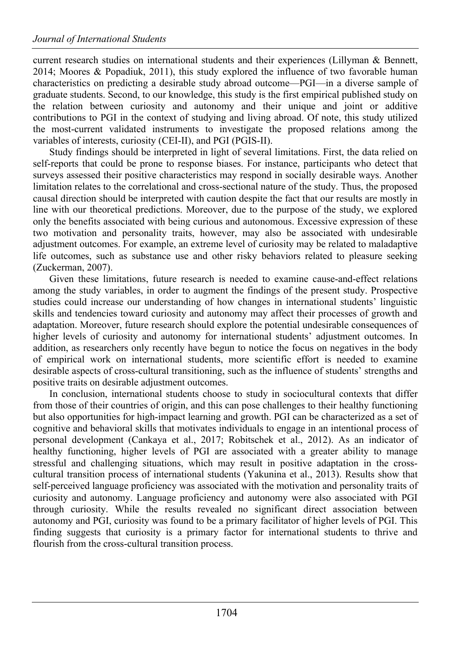current research studies on international students and their experiences (Lillyman & Bennett, 2014; Moores & Popadiuk, 2011), this study explored the influence of two favorable human characteristics on predicting a desirable study abroad outcome—PGI—in a diverse sample of graduate students. Second, to our knowledge, this study is the first empirical published study on the relation between curiosity and autonomy and their unique and joint or additive contributions to PGI in the context of studying and living abroad. Of note, this study utilized the most-current validated instruments to investigate the proposed relations among the variables of interests, curiosity (CEI-II), and PGI (PGIS-II).

Study findings should be interpreted in light of several limitations. First, the data relied on self-reports that could be prone to response biases. For instance, participants who detect that surveys assessed their positive characteristics may respond in socially desirable ways. Another limitation relates to the correlational and cross-sectional nature of the study. Thus, the proposed causal direction should be interpreted with caution despite the fact that our results are mostly in line with our theoretical predictions. Moreover, due to the purpose of the study, we explored only the benefits associated with being curious and autonomous. Excessive expression of these two motivation and personality traits, however, may also be associated with undesirable adjustment outcomes. For example, an extreme level of curiosity may be related to maladaptive life outcomes, such as substance use and other risky behaviors related to pleasure seeking (Zuckerman, 2007).

Given these limitations, future research is needed to examine cause-and-effect relations among the study variables, in order to augment the findings of the present study. Prospective studies could increase our understanding of how changes in international students' linguistic skills and tendencies toward curiosity and autonomy may affect their processes of growth and adaptation. Moreover, future research should explore the potential undesirable consequences of higher levels of curiosity and autonomy for international students' adjustment outcomes. In addition, as researchers only recently have begun to notice the focus on negatives in the body of empirical work on international students, more scientific effort is needed to examine desirable aspects of cross-cultural transitioning, such as the influence of students' strengths and positive traits on desirable adjustment outcomes.

In conclusion, international students choose to study in sociocultural contexts that differ from those of their countries of origin, and this can pose challenges to their healthy functioning but also opportunities for high-impact learning and growth. PGI can be characterized as a set of cognitive and behavioral skills that motivates individuals to engage in an intentional process of personal development (Cankaya et al., 2017; Robitschek et al., 2012). As an indicator of healthy functioning, higher levels of PGI are associated with a greater ability to manage stressful and challenging situations, which may result in positive adaptation in the crosscultural transition process of international students (Yakunina et al., 2013). Results show that self-perceived language proficiency was associated with the motivation and personality traits of curiosity and autonomy. Language proficiency and autonomy were also associated with PGI through curiosity. While the results revealed no significant direct association between autonomy and PGI, curiosity was found to be a primary facilitator of higher levels of PGI. This finding suggests that curiosity is a primary factor for international students to thrive and flourish from the cross-cultural transition process.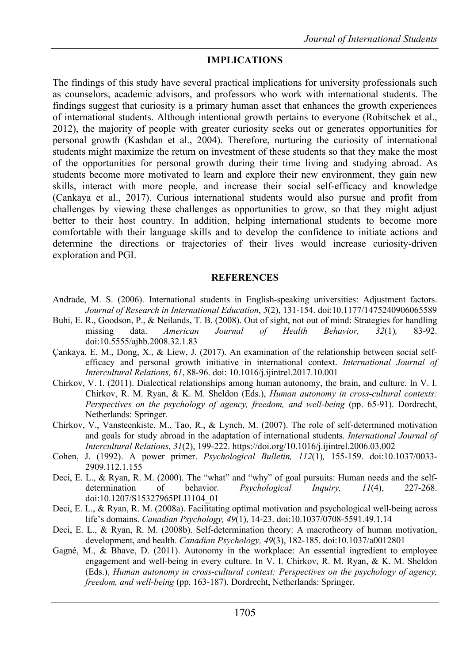#### **IMPLICATIONS**

The findings of this study have several practical implications for university professionals such as counselors, academic advisors, and professors who work with international students. The findings suggest that curiosity is a primary human asset that enhances the growth experiences of international students. Although intentional growth pertains to everyone (Robitschek et al., 2012), the majority of people with greater curiosity seeks out or generates opportunities for personal growth (Kashdan et al., 2004). Therefore, nurturing the curiosity of international students might maximize the return on investment of these students so that they make the most of the opportunities for personal growth during their time living and studying abroad. As students become more motivated to learn and explore their new environment, they gain new skills, interact with more people, and increase their social self-efficacy and knowledge (Cankaya et al., 2017). Curious international students would also pursue and profit from challenges by viewing these challenges as opportunities to grow, so that they might adjust better to their host country. In addition, helping international students to become more comfortable with their language skills and to develop the confidence to initiate actions and determine the directions or trajectories of their lives would increase curiosity-driven exploration and PGI.

#### **REFERENCES**

- Andrade, M. S. (2006). International students in English-speaking universities: Adjustment factors. *Journal of Research in International Education*, *5*(2), 131-154. doi:10.1177/1475240906065589
- Buhi, E. R., Goodson, P., & Neilands, T. B. (2008). Out of sight, not out of mind: Strategies for handling missing data. *American Journal of Health Behavior, 32*(1)*,* 83-92. doi:10.5555/ajhb.2008.32.1.83
- Çankaya, E. M., Dong, X., & Liew, J. (2017). An examination of the relationship between social selfefficacy and personal growth initiative in international context. *International Journal of Intercultural Relations, 61*, 88-96. doi: 10.1016/j.ijintrel.2017.10.001
- Chirkov, V. I. (2011). Dialectical relationships among human autonomy, the brain, and culture. In V. I. Chirkov, R. M. Ryan, & K. M. Sheldon (Eds.), *Human autonomy in cross-cultural contexts: Perspectives on the psychology of agency, freedom, and well-being* (pp. 65-91). Dordrecht, Netherlands: Springer.
- Chirkov, V., Vansteenkiste, M., Tao, R., & Lynch, M. (2007). The role of self-determined motivation and goals for study abroad in the adaptation of international students. *International Journal of Intercultural Relations*, *31*(2), 199-222. https://doi.org/10.1016/j.ijintrel.2006.03.002
- Cohen, J. (1992). A power primer. *Psychological Bulletin, 112*(1)*,* 155-159. doi:10.1037/0033- 2909.112.1.155
- Deci, E. L., & Ryan, R. M. (2000). The "what" and "why" of goal pursuits: Human needs and the selfdetermination of behavior. *Psychological Inquiry, 11*(4), 227-268. doi:10.1207/S15327965PLI1104\_01
- Deci, E. L., & Ryan, R. M. (2008a). Facilitating optimal motivation and psychological well-being across life's domains. *Canadian Psychology, 49*(1), 14-23. doi:10.1037/0708-5591.49.1.14
- Deci, E. L., & Ryan, R. M. (2008b). Self-determination theory: A macrotheory of human motivation, development, and health. *Canadian Psychology, 49*(3), 182-185. doi:10.1037/a0012801
- Gagné, M., & Bhave, D. (2011). Autonomy in the workplace: An essential ingredient to employee engagement and well-being in every culture. In V. I. Chirkov, R. M. Ryan, & K. M. Sheldon (Eds.), *Human autonomy in cross-cultural context: Perspectives on the psychology of agency, freedom, and well-being* (pp. 163-187). Dordrecht, Netherlands: Springer.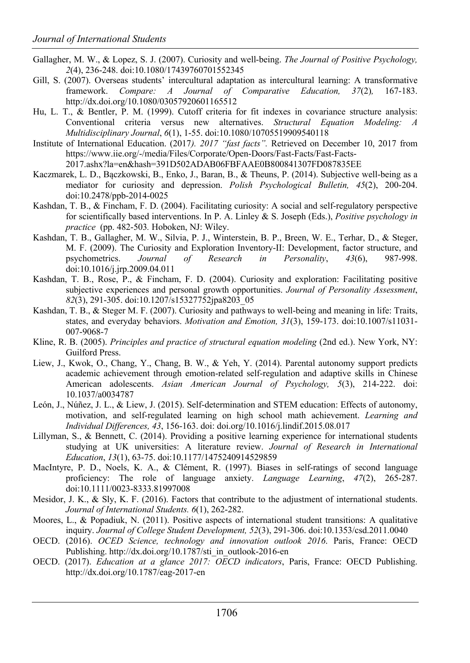- Gallagher, M. W., & Lopez, S. J. (2007). Curiosity and well-being. *The Journal of Positive Psychology, 2*(4), 236-248. doi:10.1080/17439760701552345
- Gill, S. (2007). Overseas students' intercultural adaptation as intercultural learning: A transformative framework. *Compare: A Journal of Comparative Education, 37*(2)*,* 167-183. http://dx.doi.org/10.1080/03057920601165512
- Hu, L. T., & Bentler, P. M. (1999). Cutoff criteria for fit indexes in covariance structure analysis: Conventional criteria versus new alternatives. *Structural Equation Modeling: A Multidisciplinary Journal*, *6*(1), 1-55. doi:10.1080/10705519909540118
- Institute of International Education. (2017*). 2017 "fast facts".* Retrieved on December 10, 2017 from https://www.iie.org/-/media/Files/Corporate/Open-Doors/Fast-Facts/Fast-Facts-2017.ashx?la=en&hash=391D502ADAB06FBFAAE0B800841307FD087835EE
- Kaczmarek, L. D., Bączkowski, B., Enko, J., Baran, B., & Theuns, P. (2014). Subjective well-being as a mediator for curiosity and depression. *Polish Psychological Bulletin, 45*(2), 200-204. doi:10.2478/ppb-2014-0025
- Kashdan, T. B., & Fincham, F. D. (2004). Facilitating curiosity: A social and self-regulatory perspective for scientifically based interventions. In P. A. Linley & S. Joseph (Eds.), *Positive psychology in practice* (pp. 482-503*.* Hoboken, NJ: Wiley.
- Kashdan, T. B., Gallagher, M. W., Silvia, P. J., Winterstein, B. P., Breen, W. E., Terhar, D., & Steger, M. F. (2009). The Curiosity and Exploration Inventory-II: Development, factor structure, and psychometrics. *Journal of Research in Personality*, *43*(6), 987-998. doi:10.1016/j.jrp.2009.04.011
- Kashdan, T. B., Rose, P., & Fincham, F. D. (2004). Curiosity and exploration: Facilitating positive subjective experiences and personal growth opportunities. *Journal of Personality Assessment*, *82*(3), 291-305. doi:10.1207/s15327752jpa8203\_05
- Kashdan, T. B., & Steger M. F. (2007). Curiosity and pathways to well-being and meaning in life: Traits, states, and everyday behaviors. *Motivation and Emotion, 31*(3), 159-173. doi:10.1007/s11031- 007-9068-7
- Kline, R. B. (2005). *Principles and practice of structural equation modeling* (2nd ed.). New York, NY: Guilford Press.
- Liew, J., Kwok, O., Chang, Y., Chang, B. W., & Yeh, Y. (2014). Parental autonomy support predicts academic achievement through emotion-related self-regulation and adaptive skills in Chinese American adolescents. *Asian American Journal of Psychology, 5*(3), 214-222. doi: 10.1037/a0034787
- León, J., Núñez, J. L., & Liew, J. (2015). Self-determination and STEM education: Effects of autonomy, motivation, and self-regulated learning on high school math achievement. *Learning and Individual Differences, 43*, 156-163. doi: doi.org/10.1016/j.lindif.2015.08.017
- Lillyman, S., & Bennett, C. (2014). Providing a positive learning experience for international students studying at UK universities: A literature review. *Journal of Research in International Education*, *13*(1), 63-75. doi:10.1177/1475240914529859
- MacIntyre, P. D., Noels, K. A., & Clément, R. (1997). Biases in self-ratings of second language proficiency: The role of language anxiety. *Language Learning*, *47*(2), 265-287. doi:10.1111/0023-8333.81997008
- Mesidor, J. K., & Sly, K. F. (2016). Factors that contribute to the adjustment of international students. *Journal of International Students. 6*(1), 262-282.
- Moores, L., & Popadiuk, N. (2011). Positive aspects of international student transitions: A qualitative inquiry. *Journal of College Student Development, 52*(3), 291-306. doi:10.1353/csd.2011.0040
- OECD. (2016). *OCED Science, technology and innovation outlook 2016*. Paris, France: OECD Publishing. http://dx.doi.org/10.1787/sti\_in\_outlook-2016-en
- OECD. (2017). *Education at a glance 2017: OECD indicators*, Paris, France: OECD Publishing. http://dx.doi.org/10.1787/eag-2017-en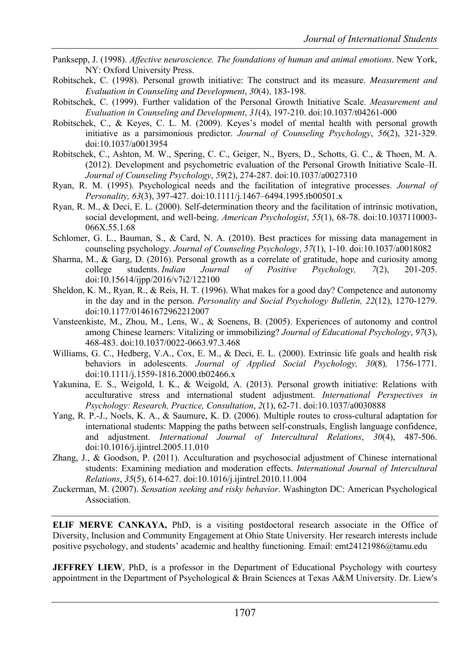- Panksepp, J. (1998). *Affective neuroscience. The foundations of human and animal emotions*. New York, NY: Oxford University Press.
- Robitschek, C. (1998). Personal growth initiative: The construct and its measure. *Measurement and Evaluation in Counseling and Development*, *30*(4)*,* 183-198.
- Robitschek, C. (1999). Further validation of the Personal Growth Initiative Scale. *Measurement and Evaluation in Counseling and Development*, *31*(4), 197-210. doi:10.1037/t04261-000
- Robitschek, C., & Keyes, C. L. M. (2009). Keyes's model of mental health with personal growth initiative as a parsimonious predictor. *Journal of Counseling Psychology*, *56*(2), 321-329. doi:10.1037/a0013954
- Robitschek, C., Ashton, M. W., Spering, C. C., Geiger, N., Byers, D., Schotts, G. C., & Thoen, M. A. (2012). Development and psychometric evaluation of the Personal Growth Initiative Scale–II. *Journal of Counseling Psychology*, *59*(2), 274-287. doi:10.1037/a0027310
- Ryan, R. M. (1995). Psychological needs and the facilitation of integrative processes. *Journal of Personality, 63*(3), 397-427. doi:10.1111/j.1467–6494.1995.tb00501.x
- Ryan, R. M., & Deci, E. L. (2000). Self-determination theory and the facilitation of intrinsic motivation, social development, and well-being. *American Psychologist*, *55*(1), 68-78. doi:10.1037110003- 066X.55.1.68
- Schlomer, G. L., Bauman, S., & Card, N. A. (2010). Best practices for missing data management in counseling psychology. *Journal of Counseling Psychology*, *57*(1), 1-10. doi:10.1037/a0018082
- Sharma, M., & Garg, D. (2016). Personal growth as a correlate of gratitude, hope and curiosity among college students. *Indian Journal of Positive Psychology, 7*(2), 201-205. doi:10.15614/ijpp/2016/v7i2/122100
- Sheldon, K. M., Ryan, R., & Reis, H. T. (1996). What makes for a good day? Competence and autonomy in the day and in the person. *Personality and Social Psychology Bulletin, 22*(12), 1270-1279. doi:10.1177/01461672962212007
- Vansteenkiste, M., Zhou, M., Lens, W., & Soenens, B. (2005). Experiences of autonomy and control among Chinese learners: Vitalizing or immobilizing? *Journal of Educational Psychology*, *97*(3), 468-483. doi:10.1037/0022-0663.97.3.468
- Williams, G. C., Hedberg, V.A., Cox, E. M., & Deci, E. L. (2000). Extrinsic life goals and health risk behaviors in adolescents. *Journal of Applied Social Psychology, 30*(8)*,* 1756-1771. doi:10.1111/j.1559-1816.2000.tb02466.x
- Yakunina, E. S., Weigold, I. K., & Weigold, A. (2013). Personal growth initiative: Relations with acculturative stress and international student adjustment. *International Perspectives in Psychology: Research, Practice, Consultation*, *2*(1), 62-71. doi:10.1037/a0030888
- Yang, R. P.-J., Noels, K. A., & Saumure, K. D. (2006). Multiple routes to cross-cultural adaptation for international students: Mapping the paths between self-construals, English language confidence, and adjustment. *International Journal of Intercultural Relations*, *30*(4), 487-506. doi:10.1016/j.ijintrel.2005.11.010
- Zhang, J., & Goodson, P. (2011). Acculturation and psychosocial adjustment of Chinese international students: Examining mediation and moderation effects. *International Journal of Intercultural Relations*, *35*(5), 614-627. doi:10.1016/j.ijintrel.2010.11.004
- Zuckerman, M. (2007). *Sensation seeking and risky behavior*. Washington DC: American Psychological Association.

**ELIF MERVE CANKAYA,** PhD, is a visiting postdoctoral research associate in the Office of Diversity, Inclusion and Community Engagement at Ohio State University. Her research interests include positive psychology, and students' academic and healthy functioning. Email: emt24121986@tamu.edu

**JEFFREY LIEW**, PhD, is a professor in the Department of Educational Psychology with courtesy appointment in the Department of Psychological & Brain Sciences at Texas A&M University. Dr. Liew's